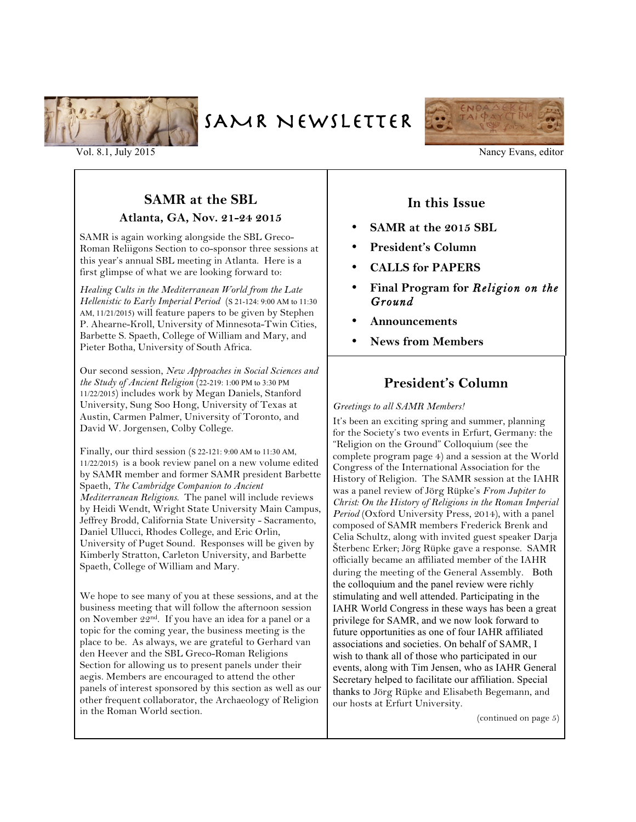

SAMR NEWSLETTER



#### Vol. 8.1, July 2015 Nancy Evans, editor

### **SAMR at the SBL**

#### **Atlanta, GA, Nov. 21-24 2015**

SAMR is again working alongside the SBL Greco-Roman Reliigons Section to co-sponsor three sessions at this year's annual SBL meeting in Atlanta. Here is a first glimpse of what we are looking forward to:

*Healing Cults in the Mediterranean World from the Late Hellenistic to Early Imperial Period* (S 21-124: 9:00 AM to 11:30 AM, 11/21/2015) will feature papers to be given by Stephen P. Ahearne-Kroll, University of Minnesota-Twin Cities, Barbette S. Spaeth, College of William and Mary, and Pieter Botha, University of South Africa.

Our second session, *New Approaches in Social Sciences and the Study of Ancient Religion* (22-219: 1:00 PM to 3:30 PM 11/22/2015) includes work by Megan Daniels, Stanford University, Sung Soo Hong, University of Texas at Austin, Carmen Palmer, University of Toronto, and David W. Jorgensen, Colby College.

Finally, our third session (S 22-121: 9:00 AM to 11:30 AM, 11/22/2015) is a book review panel on a new volume edited by SAMR member and former SAMR president Barbette Spaeth, *The Cambridge Companion to Ancient Mediterranean Religions*. The panel will include reviews by Heidi Wendt, Wright State University Main Campus, Jeffrey Brodd, California State University - Sacramento, Daniel Ullucci, Rhodes College, and Eric Orlin, University of Puget Sound. Responses will be given by Kimberly Stratton, Carleton University, and Barbette Spaeth, College of William and Mary.

We hope to see many of you at these sessions, and at the business meeting that will follow the afternoon session on November 22nd. If you have an idea for a panel or a topic for the coming year, the business meeting is the place to be. As always, we are grateful to Gerhard van den Heever and the SBL Greco-Roman Religions Section for allowing us to present panels under their aegis. Members are encouraged to attend the other panels of interest sponsored by this section as well as our other frequent collaborator, the Archaeology of Religion in the Roman World section.

### **In this Issue**

- **SAMR at the 2015 SBL**
- **President's Column**
- **CALLS for PAPERS**
- **Final Program for** *Religion on the Ground*
- **Announcements**
- **News from Members**

### **President's Column**

#### *Greetings to all SAMR Members!*

It's been an exciting spring and summer, planning for the Society's two events in Erfurt, Germany: the "Religion on the Ground" Colloquium (see the complete program page 4) and a session at the World Congress of the International Association for the History of Religion. The SAMR session at the IAHR was a panel review of Jörg Rüpke's *From Jupiter to Christ: On the History of Religions in the Roman Imperial Period* (Oxford University Press, 2014), with a panel composed of SAMR members Frederick Brenk and Celia Schultz, along with invited guest speaker Darja Šterbenc Erker; Jörg Rüpke gave a response. SAMR officially became an affiliated member of the IAHR during the meeting of the General Assembly. Both the colloquium and the panel review were richly stimulating and well attended. Participating in the IAHR World Congress in these ways has been a great privilege for SAMR, and we now look forward to future opportunities as one of four IAHR affiliated associations and societies. On behalf of SAMR, I wish to thank all of those who participated in our events, along with Tim Jensen, who as IAHR General Secretary helped to facilitate our affiliation. Special thanks to Jörg Rüpke and Elisabeth Begemann, and our hosts at Erfurt University.

(continued on page 5)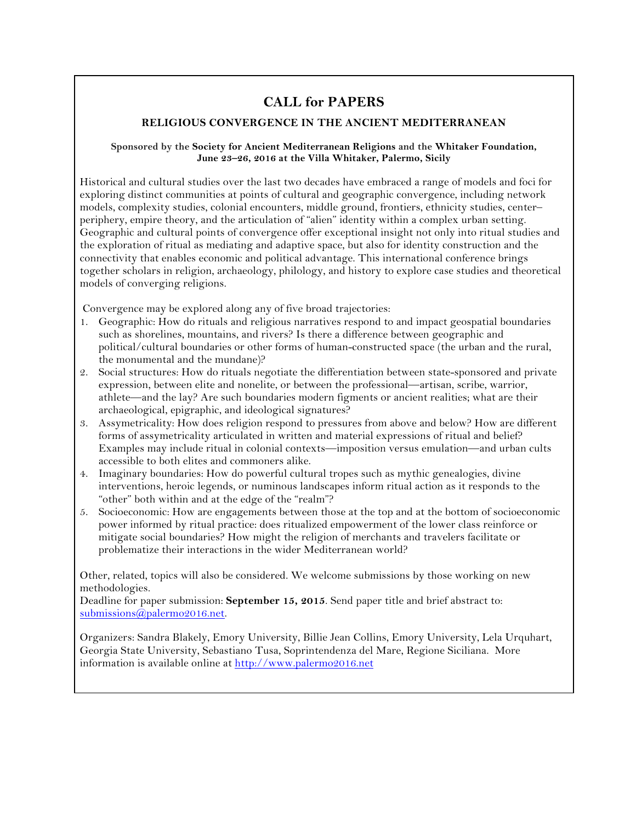## **CALL for PAPERS**

#### **RELIGIOUS CONVERGENCE IN THE ANCIENT MEDITERRANEAN**

#### **Sponsored by the Society for Ancient Mediterranean Religions and the Whitaker Foundation, June 23–26, 2016 at the Villa Whitaker, Palermo, Sicily**

Historical and cultural studies over the last two decades have embraced a range of models and foci for exploring distinct communities at points of cultural and geographic convergence, including network models, complexity studies, colonial encounters, middle ground, frontiers, ethnicity studies, center– periphery, empire theory, and the articulation of "alien" identity within a complex urban setting. Geographic and cultural points of convergence offer exceptional insight not only into ritual studies and the exploration of ritual as mediating and adaptive space, but also for identity construction and the connectivity that enables economic and political advantage. This international conference brings together scholars in religion, archaeology, philology, and history to explore case studies and theoretical models of converging religions.

Convergence may be explored along any of five broad trajectories:

- 1. Geographic: How do rituals and religious narratives respond to and impact geospatial boundaries such as shorelines, mountains, and rivers? Is there a difference between geographic and political/cultural boundaries or other forms of human-constructed space (the urban and the rural, the monumental and the mundane)?
- 2. Social structures: How do rituals negotiate the differentiation between state-sponsored and private expression, between elite and nonelite, or between the professional—artisan, scribe, warrior, athlete—and the lay? Are such boundaries modern figments or ancient realities; what are their archaeological, epigraphic, and ideological signatures?
- 3. Assymetricality: How does religion respond to pressures from above and below? How are different forms of assymetricality articulated in written and material expressions of ritual and belief? Examples may include ritual in colonial contexts—imposition versus emulation—and urban cults accessible to both elites and commoners alike.
- 4. Imaginary boundaries: How do powerful cultural tropes such as mythic genealogies, divine interventions, heroic legends, or numinous landscapes inform ritual action as it responds to the "other" both within and at the edge of the "realm"?
- 5. Socioeconomic: How are engagements between those at the top and at the bottom of socioeconomic power informed by ritual practice: does ritualized empowerment of the lower class reinforce or mitigate social boundaries? How might the religion of merchants and travelers facilitate or problematize their interactions in the wider Mediterranean world?

Other, related, topics will also be considered. We welcome submissions by those working on new methodologies.

Deadline for paper submission: **September 15, 2015**. Send paper title and brief abstract to: submissions@palermo2016.net.

Organizers: Sandra Blakely, Emory University, Billie Jean Collins, Emory University, Lela Urquhart, Georgia State University, Sebastiano Tusa, Soprintendenza del Mare, Regione Siciliana. More information is available online at http://www.palermo2016.net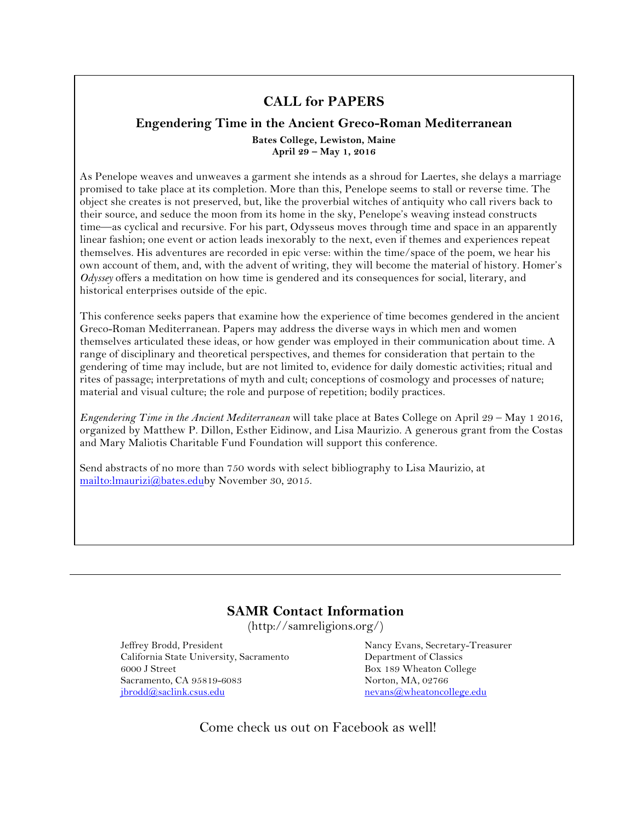### **CALL for PAPERS**

### **Engendering Time in the Ancient Greco-Roman Mediterranean Bates College, Lewiston, Maine April 29 – May 1, 2016**

As Penelope weaves and unweaves a garment she intends as a shroud for Laertes, she delays a marriage promised to take place at its completion. More than this, Penelope seems to stall or reverse time. The object she creates is not preserved, but, like the proverbial witches of antiquity who call rivers back to their source, and seduce the moon from its home in the sky, Penelope's weaving instead constructs time—as cyclical and recursive. For his part, Odysseus moves through time and space in an apparently linear fashion; one event or action leads inexorably to the next, even if themes and experiences repeat themselves. His adventures are recorded in epic verse: within the time/space of the poem, we hear his own account of them, and, with the advent of writing, they will become the material of history. Homer's *Odyssey* offers a meditation on how time is gendered and its consequences for social, literary, and historical enterprises outside of the epic.

This conference seeks papers that examine how the experience of time becomes gendered in the ancient Greco-Roman Mediterranean. Papers may address the diverse ways in which men and women themselves articulated these ideas, or how gender was employed in their communication about time. A range of disciplinary and theoretical perspectives, and themes for consideration that pertain to the gendering of time may include, but are not limited to, evidence for daily domestic activities; ritual and rites of passage; interpretations of myth and cult; conceptions of cosmology and processes of nature; material and visual culture; the role and purpose of repetition; bodily practices.

*Engendering Time in the Ancient Mediterranean* will take place at Bates College on April 29 – May 1 2016, organized by Matthew P. Dillon, Esther Eidinow, and Lisa Maurizio. A generous grant from the Costas and Mary Maliotis Charitable Fund Foundation will support this conference.

Send abstracts of no more than 750 words with select bibliography to Lisa Maurizio, at mailto:lmaurizi@bates.eduby November 30, 2015.

## **SAMR Contact Information**

(http://samreligions.org/)

Jeffrey Brodd, President California State University, Sacramento 6000 J Street Sacramento, CA 95819-6083 jbrodd@saclink.csus.edu

Nancy Evans, Secretary-Treasurer Department of Classics Box 189 Wheaton College Norton, MA, 02766 nevans@wheatoncollege.edu

Come check us out on Facebook as well!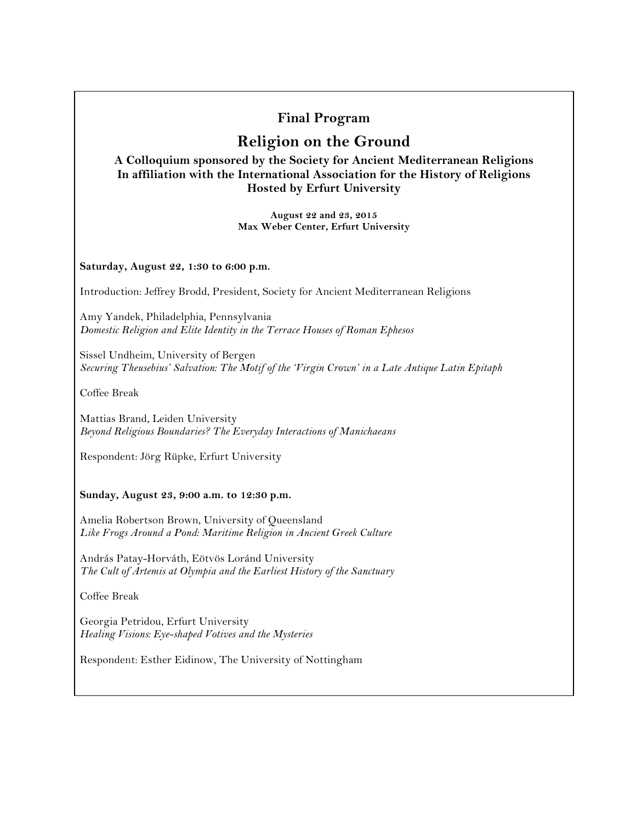## **Final Program**

# **Religion on the Ground**

**A Colloquium sponsored by the Society for Ancient Mediterranean Religions In affiliation with the International Association for the History of Religions Hosted by Erfurt University**

> **August 22 and 23, 2015 Max Weber Center, Erfurt University**

**Saturday, August 22, 1:30 to 6:00 p.m.**

Introduction: Jeffrey Brodd, President, Society for Ancient Mediterranean Religions

Amy Yandek, Philadelphia, Pennsylvania *Domestic Religion and Elite Identity in the Terrace Houses of Roman Ephesos*

Sissel Undheim, University of Bergen *Securing Theusebius' Salvation: The Motif of the 'Virgin Crown' in a Late Antique Latin Epitaph*

Coffee Break

Mattias Brand, Leiden University *Beyond Religious Boundaries? The Everyday Interactions of Manichaeans*

Respondent: Jörg Rüpke, Erfurt University

#### **Sunday, August 23, 9:00 a.m. to 12:30 p.m.**

Amelia Robertson Brown, University of Queensland *Like Frogs Around a Pond: Maritime Religion in Ancient Greek Culture*

András Patay-Horváth, Eötvös Loránd University *The Cult of Artemis at Olympia and the Earliest History of the Sanctuary*

Coffee Break

Georgia Petridou, Erfurt University *Healing Visions: Eye-shaped Votives and the Mysteries*

Respondent: Esther Eidinow, The University of Nottingham